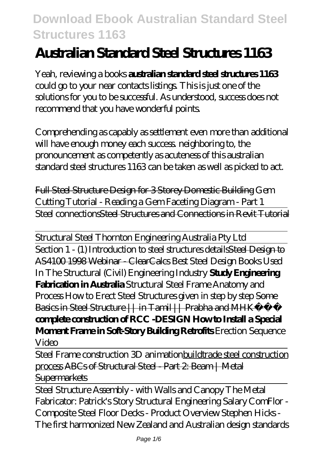# **Australian Standard Steel Structures 1163**

Yeah, reviewing a books **australian standard steel structures 1163** could go to your near contacts listings. This is just one of the solutions for you to be successful. As understood, success does not recommend that you have wonderful points.

Comprehending as capably as settlement even more than additional will have enough money each success neighboring to, the pronouncement as competently as acuteness of this australian standard steel structures 1163 can be taken as well as picked to act.

Full Steel Structure Design for 3 Storey Domestic Building *Gem Cutting Tutorial - Reading a Gem Faceting Diagram - Part 1* Steel connectionsSteel Structures and Connections in Revit Tutorial

Structural Steel Thornton Engineering Australia Pty Ltd Section 1 - (1) Introduction to steel structures details Steel Design to AS4100 1998 Webinar - ClearCalcs *Best Steel Design Books Used In The Structural (Civil) Engineering Industry* **Study Engineering Fabrication in Australia** *Structural Steel Frame Anatomy and Process* How to Erect Steel Structures given in step by step Some Basics in Steel Structure || in Tamil || Prabha and MHK **complete construction of RCC -DESIGN How to Install a Special Moment Frame in Soft-Story Building Retrofits** Erection Sequence Video

Steel Frame construction 3D animationbuildtrade steel construction process ABCs of Structural Steel - Part 2: Beam | Metal **Supermarkets** 

Steel Structure Assembly - with Walls and Canopy The Metal Fabricator: Patrick's Story *Structural Engineering Salary ComFlor - Composite Steel Floor Decks - Product Overview Stephen Hicks - The first harmonized New Zealand and Australian design standards*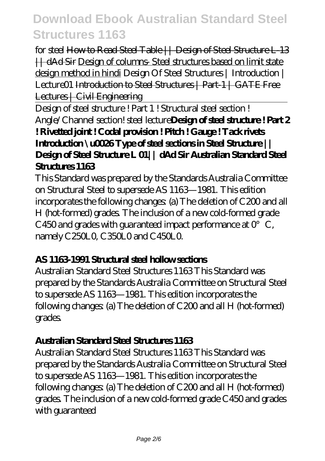*for steel* How to Read Steel Table || Design of Steel Structure L-13 || dAd Sir Design of columns- Steel structures based on limit state design method in hindi Design Of Steel Structures | Introduction | Lecture01 Introduction to Steel Structures | Part 1 | GATE Free Lectures | Civil Engineering

Design of steel structure ! Part 1 ! Structural steel section ! Angle/Channel section! steel lecture**Design of steel structure ! Part 2 ! Rivetted joint ! Codal provision ! Pitch ! Gauge ! Tack rivets Introduction \u0026 Type of steel sections in Steel Structure || Design of Steel Structure L 01|| dAd Sir Australian Standard Steel Structures 1163** 

This Standard was prepared by the Standards Australia Committee on Structural Steel to supersede AS 1163—1981. This edition incorporates the following changes: (a) The deletion of C200 and all H (hot-formed) grades. The inclusion of a new cold-formed grade C450 and grades with guaranteed impact performance at  $0^\circ$  C, namely C250L0, C350L0 and C450L0.

### **AS 1163-1991 Structural steel hollow sections**

Australian Standard Steel Structures 1163 This Standard was prepared by the Standards Australia Committee on Structural Steel to supersede AS 1163—1981. This edition incorporates the following changes: (a) The deletion of C200 and all H (hot-formed) grades.

### **Australian Standard Steel Structures 1163**

Australian Standard Steel Structures 1163 This Standard was prepared by the Standards Australia Committee on Structural Steel to supersede AS 1163—1981. This edition incorporates the following changes: (a) The deletion of C200 and all H (hot-formed) grades. The inclusion of a new cold-formed grade C450 and grades with guaranteed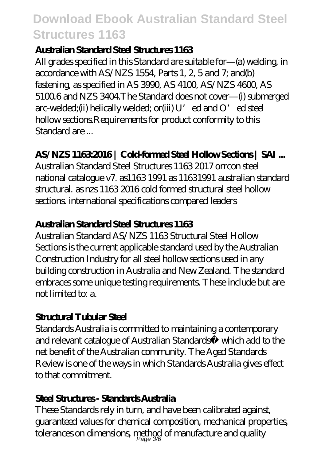### **Australian Standard Steel Structures 1163**

All grades specified in this Standard are suitable for—(a) welding, in accordance with AS/NZS 1554, Parts 1, 2, 5 and 7; and(b) fastening, as specified in AS 3990, AS 4100, AS/NZS 4600, AS 5100.6 and NZS 3404.The Standard does not cover—(i) submerged arc-welded;(ii) helically welded; or(iii) U'ed and O'ed steel hollow sections.Requirements for product conformity to this Standard are ...

## **AS/NZS 1163:2016 | Cold-formed Steel Hollow Sections | SAI ...**

Australian Standard Steel Structures 1163 2017 orrcon steel national catalogue v7. as1163 1991 as 11631991 australian standard structural. as nzs 1163 2016 cold formed structural steel hollow sections. international specifications compared leaders

### **Australian Standard Steel Structures 1163**

Australian Standard AS/NZS 1163 Structural Steel Hollow Sections is the current applicable standard used by the Australian Construction Industry for all steel hollow sections used in any building construction in Australia and New Zealand. The standard embraces some unique testing requirements. These include but are not limited to: a.

## **Structural Tubular Steel**

Standards Australia is committed to maintaining a contemporary and relevant catalogue of Australian Standards® which add to the net benefit of the Australian community. The Aged Standards Review is one of the ways in which Standards Australia gives effect to that commitment.

### **Steel Structures - Standards Australia**

These Standards rely in turn, and have been calibrated against, guaranteed values for chemical composition, mechanical properties, tolerances on dimensions,  $\mathop{\rm{neth}}\limits_{Page}$  of manufacture and quality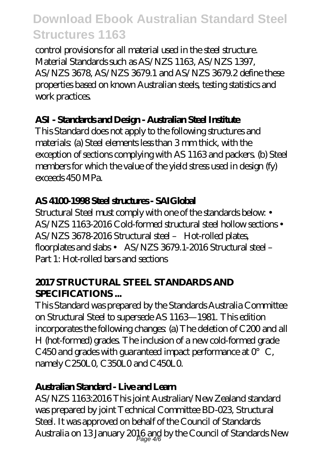control provisions for all material used in the steel structure. Material Standards such as AS/NZS 1163, AS/NZS 1397, AS/NZS 3678, AS/NZS 3679.1 and AS/NZS 3679.2 define these properties based on known Australian steels, testing statistics and work practices.

### **ASI - Standards and Design - Australian Steel Institute**

This Standard does not apply to the following structures and materials: (a) Steel elements less than 3 mm thick, with the exception of sections complying with AS 1163 and packers. (b) Steel members for which the value of the yield stress used in design (fy) exceeds 450 MPa.

## **AS 4100-1998 Steel structures - SAIGlobal**

Structural Steel must comply with one of the standards below: • AS/NZS 1163-2016 Cold-formed structural steel hollow sections • AS/NZS 3678-2016 Structural steel – Hot-rolled plates, floorplates and slabs • AS/NZS 3679.1-2016 Structural steel – Part 1: Hot-rolled bars and sections

## **2017 STRUCTURAL STEEL STANDARDS AND SPECIFICATIONS ...**

This Standard was prepared by the Standards Australia Committee on Structural Steel to supersede AS 1163—1981. This edition incorporates the following changes: (a) The deletion of C200 and all H (hot-formed) grades. The inclusion of a new cold-formed grade C450 and grades with guaranteed impact performance at  $0^{\circ}$  C, namely C250L0, C350L0 and C450L0.

## **Australian Standard - Live and Learn**

AS/NZS 1163:2016 This joint Australian/New Zealand standard was prepared by joint Technical Committee BD-023, Structural Steel. It was approved on behalf of the Council of Standards Australia on 13 January 2016 and by the Council of Standards New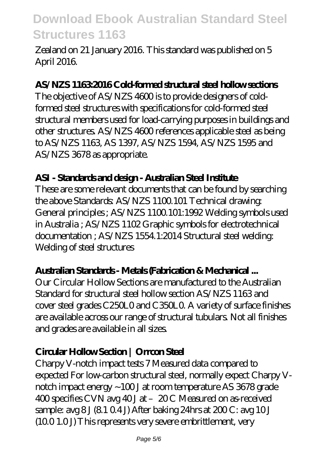Zealand on 21 January 2016. This standard was published on 5 April 2016.

#### **AS/NZS 1163:2016 Cold-formed structural steel hollow sections**

The objective of AS/NZS 4600 is to provide designers of coldformed steel structures with specifications for cold-formed steel structural members used for load-carrying purposes in buildings and other structures. AS/NZS 4600 references applicable steel as being to AS/NZS 1163, AS 1397, AS/NZS 1594, AS/NZS 1595 and AS/NZS 3678 as appropriate.

#### **ASI - Standards and design - Australian Steel Institute**

These are some relevant documents that can be found by searching the above Standards: AS/NZS 1100.101 Technical drawing: General principles ; AS/NZS 1100.101:1992 Welding symbols used in Australia ; AS/NZS 1102 Graphic symbols for electrotechnical documentation ; AS/NZS 1554.1:2014 Structural steel welding: Welding of steel structures

### **Australian Standards - Metals (Fabrication & Mechanical ...**

Our Circular Hollow Sections are manufactured to the Australian Standard for structural steel hollow section AS/NZS 1163 and cover steel grades C250L0 and C350L0. A variety of surface finishes are available across our range of structural tubulars. Not all finishes and grades are available in all sizes.

### **Circular Hollow Section | Orrcon Steel**

Charpy V-notch impact tests 7 Measured data compared to expected For low-carbon structural steel, normally expect Charpy Vnotch impact energy ~100 J at room temperature AS 3678 grade 400 specifies CVN avg 40 J at - 20 C Measured on as-received sample:  $\alpha$ vg  $8J(8104J)$  After baking 24hrs at  $200C$ :  $\alpha$ vg  $10J$ (10.0 1.0 J) This represents very severe embrittlement, very